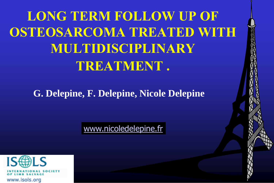**LONG TERM FOLLOW UP OF OSTEOSARCOMA TREATED WITH MULTIDISCIPLINARY TREATMENT .**

**G. Delepine, F. Delepine, Nicole Delepine**

[www.nicoledelepine.fr](http://www.nicoledelepine.fr/)

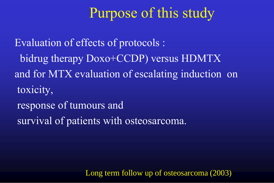#### Purpose of this study

Evaluation of effects of protocols : bidrug therapy Doxo+CCDP) versus HDMTX and for MTX evaluation of escalating induction on toxicity, response of tumours and survival of patients with osteosarcoma.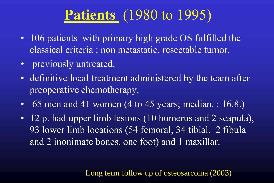# **Patients** (1980 to 1995)

- 106 patients with primary high grade OS fulfilled the classical criteria : non metastatic, resectable tumor,
- previously untreated,
- definitive local treatment administered by the team after preoperative chemotherapy.
- 65 men and 41 women  $(4 \text{ to } 45 \text{ years}; \text{ median.} : 16.8.)$
- 12 p. had upper limb lesions (10 humerus and 2 scapula), 93 lower limb locations (54 femoral, 34 tibial, 2 fibula and 2 inonimate bones, one foot) and 1 maxillar.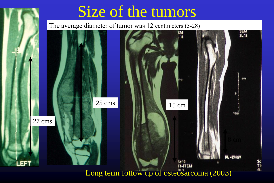

# Size of the tumors

The average diameter of tumor was 12 centimeters (5-28)

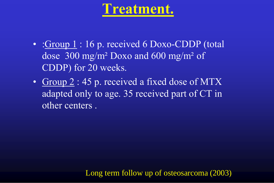#### **Treatment.**

- :Group 1:16 p. received 6 Doxo-CDDP (total dose 300 mg/m² Doxo and 600 mg/m² of CDDP) for 20 weeks.
- Group 2 : 45 p. received a fixed dose of MTX adapted only to age. 35 received part of CT in other centers .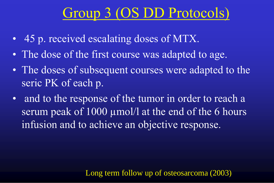# Group 3 (OS DD Protocols)

- 45 p. received escalating doses of MTX.
- The dose of the first course was adapted to age.
- The doses of subsequent courses were adapted to the seric PK of each p.
- and to the response of the tumor in order to reach a serum peak of 1000 µmol/l at the end of the 6 hours infusion and to achieve an objective response.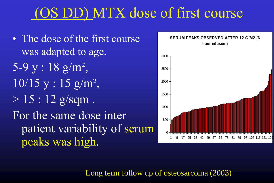## (OS DD) MTX dose of first course

• The dose of the first course was adapted to age. 5-9 y : 18 g/m²,  $10/15$  y :  $15$   $\rm g/m^2$ ,  $> 15 : 12$  g/sqm. For the same dose inter patient variability of serum peaks was high.

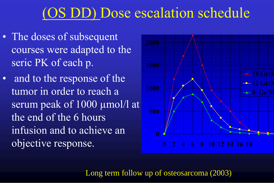#### (OS DD) Dose escalation schedule

- The doses of subsequent courses were adapted to the seric PK of each p.
- and to the response of the tumor in order to reach a serum peak of 1000 µmol/l at the end of the 6 hours infusion and to achieve an objective response.

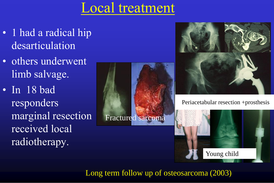#### Local treatment

- 1 had a radical hip desarticulation
- others underwent limb salvage.
- In 18 bad responders marginal resection received local radiotherapy.





Periacetabular resection +prosthesis

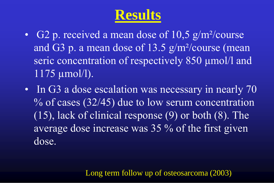# **Results**

- G2 p. received a mean dose of  $10,5$  g/m<sup>2</sup>/course and G3 p. a mean dose of 13.5 g/m²/course (mean seric concentration of respectively 850 µmol/l and 1175 µmol/l).
- In G3 a dose escalation was necessary in nearly 70  $\%$  of cases (32/45) due to low serum concentration (15), lack of clinical response (9) or both (8). The average dose increase was 35 % of the first given dose.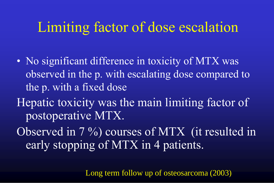#### Limiting factor of dose escalation

- No significant difference in toxicity of MTX was observed in the p. with escalating dose compared to the p. with a fixed dose
- Hepatic toxicity was the main limiting factor of postoperative MTX.
- Observed in 7 %) courses of MTX (it resulted in early stopping of MTX in 4 patients.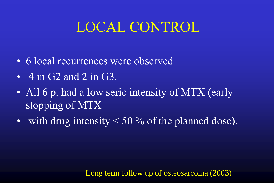#### LOCAL CONTROL

- 6 local recurrences were observed
- $\cdot$  4 in G2 and 2 in G3.
- All 6 p. had a low seric intensity of MTX (early stopping of MTX
- with drug intensity  $\leq 50\%$  of the planned dose).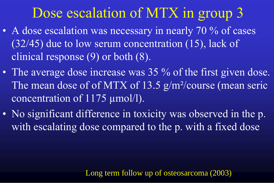# Dose escalation of MTX in group 3

- A dose escalation was necessary in nearly 70 % of cases (32/45) due to low serum concentration (15), lack of clinical response  $(9)$  or both  $(\overline{8})$ .
- The average dose increase was 35 % of the first given dose. The mean dose of of MTX of 13.5 g/m<sup>2</sup>/course (mean seric concentration of 1175 µmol/l).
- No significant difference in toxicity was observed in the p. with escalating dose compared to the p. with a fixed dose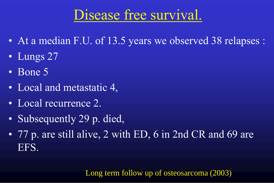# Disease free survival.

- At a median F.U. of 13.5 years we observed 38 relapses :
- Lungs 27
- Bone 5
- Local and metastatic 4,
- Local recurrence 2.
- Subsequently 29 p. died,
- 77 p. are still alive, 2 with ED, 6 in 2nd CR and 69 are EFS.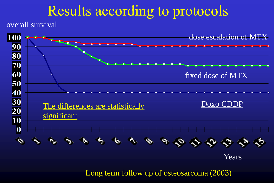#### Results according to protocols

overall survival

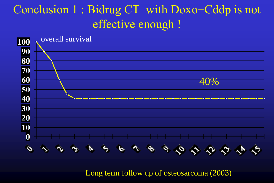#### Conclusion 1 : Bidrug CT with Doxo+Cddp is not effective enough !